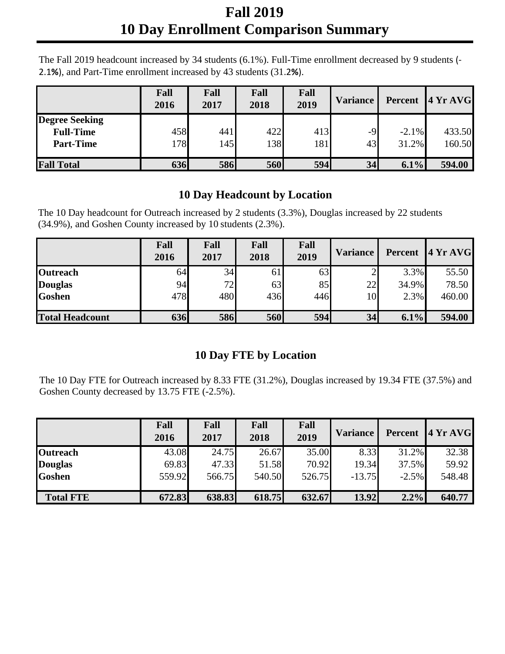## **Fall 2019 10 Day Enrollment Comparison Summary**

The Fall 2019 headcount increased by 34 students (6.1%). Full-Time enrollment decreased by 9 students (-2.1**%**), and Part-Time enrollment increased by 43 students (31.2**%**).

|                                                               | Fall<br>2016 | Fall<br>2017 | Fall<br>2018 | Fall<br>2019 | <b>Variance</b> | Percent           | 4YrAVG           |
|---------------------------------------------------------------|--------------|--------------|--------------|--------------|-----------------|-------------------|------------------|
| <b>Degree Seeking</b><br><b>Full-Time</b><br><b>Part-Time</b> | 458<br>178   | 441<br>145   | 422<br>138   | 413<br>181   | $-9$<br>43      | $-2.1\%$<br>31.2% | 433.50<br>160.50 |
| <b>Fall Total</b>                                             | 636          | 586          | 560          | 594          | 34              | 6.1%              | 594.00           |

## **10 Day Headcount by Location**

The 10 Day headcount for Outreach increased by 2 students (3.3%), Douglas increased by 22 students (34.9%), and Goshen County increased by 10 students (2.3%).

|                        | Fall<br>2016 | Fall<br>2017 | Fall<br>2018 | Fall<br>2019 | <b>Variance</b> |       | Percent 4 Yr AVG |
|------------------------|--------------|--------------|--------------|--------------|-----------------|-------|------------------|
| <b>Outreach</b>        | 64           | 34           | 61           | 63           |                 | 3.3%  | 55.50            |
| <b>Douglas</b>         | 94           | 72           | 63           | 85           | 22              | 34.9% | 78.50            |
| <b>Goshen</b>          | 478          | 480          | 436          | 446          | 10              | 2.3%  | 460.00           |
| <b>Total Headcount</b> | 636          | <b>586</b>   | 560          | 594          | 34              | 6.1%  | 594.00           |

## **10 Day FTE by Location**

The 10 Day FTE for Outreach increased by 8.33 FTE (31.2%), Douglas increased by 19.34 FTE (37.5%) and Goshen County decreased by 13.75 FTE (-2.5%).

|                  | Fall<br>2016 | Fall<br>2017 | Fall<br>2018 | Fall<br>2019 | <b>Variance</b> | Percent | 4YrAVG |
|------------------|--------------|--------------|--------------|--------------|-----------------|---------|--------|
| <b>Outreach</b>  | 43.08        | 24.75        | 26.67        | 35.00        | 8.33            | 31.2%   | 32.38  |
| <b>Douglas</b>   | 69.83        | 47.33        | 51.58        | 70.92        | 19.34           | 37.5%   | 59.92  |
| <b>Goshen</b>    | 559.92       | 566.75       | 540.50       | 526.75       | $-13.75$        | $-2.5%$ | 548.48 |
|                  |              |              |              |              |                 |         |        |
| <b>Total FTE</b> | 672.83       | 638.83       | 618.75       | 632.67       | 13.92           | 2.2%    | 640.77 |